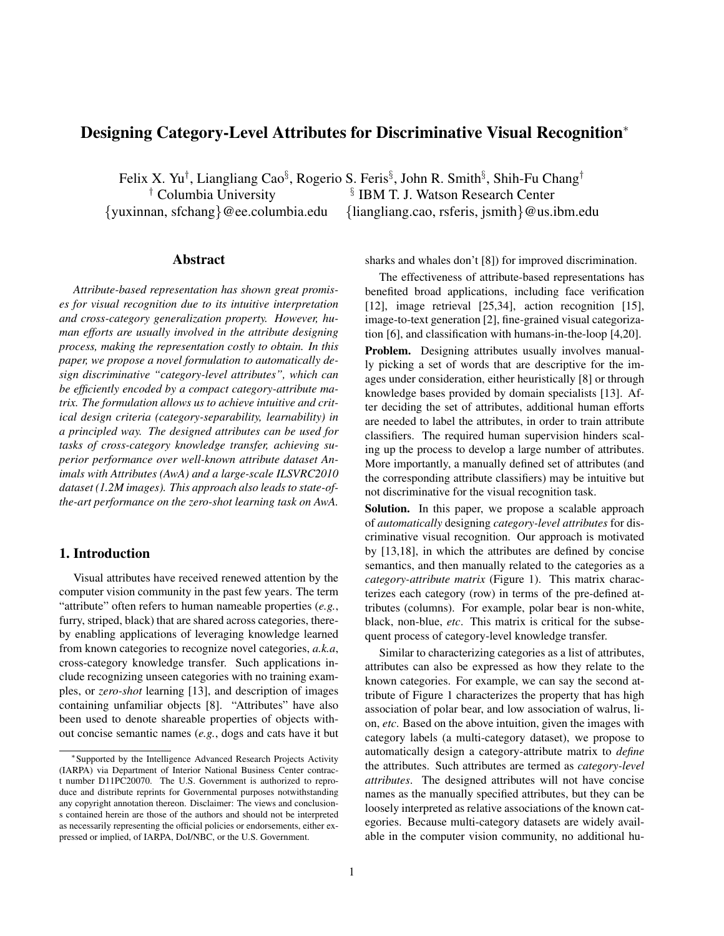# Designing Category-Level Attributes for Discriminative Visual Recognition<sup>∗</sup>

Felix X. Yu<sup>†</sup>, Liangliang Cao<sup>§</sup>, Rogerio S. Feris<sup>§</sup>, John R. Smith<sup>§</sup>, Shih-Fu Chang<sup>†</sup> <sup>†</sup> Columbia University <sup>§</sup> IBM T. J. Watson Research Center {yuxinnan, sfchang}@ee.columbia.edu {liangliang.cao, rsferis, jsmith}@us.ibm.edu

# Abstract

*Attribute-based representation has shown great promises for visual recognition due to its intuitive interpretation and cross-category generalization property. However, human efforts are usually involved in the attribute designing process, making the representation costly to obtain. In this paper, we propose a novel formulation to automatically design discriminative "category-level attributes", which can be efficiently encoded by a compact category-attribute matrix. The formulation allows us to achieve intuitive and critical design criteria (category-separability, learnability) in a principled way. The designed attributes can be used for tasks of cross-category knowledge transfer, achieving superior performance over well-known attribute dataset Animals with Attributes (AwA) and a large-scale ILSVRC2010 dataset (1.2M images). This approach also leads to state-ofthe-art performance on the zero-shot learning task on AwA.*

# 1. Introduction

Visual attributes have received renewed attention by the computer vision community in the past few years. The term "attribute" often refers to human nameable properties (*e.g.*, furry, striped, black) that are shared across categories, thereby enabling applications of leveraging knowledge learned from known categories to recognize novel categories, *a.k.a*, cross-category knowledge transfer. Such applications include recognizing unseen categories with no training examples, or *zero-shot* learning [13], and description of images containing unfamiliar objects [8]. "Attributes" have also been used to denote shareable properties of objects without concise semantic names (*e.g.*, dogs and cats have it but sharks and whales don't [8]) for improved discrimination.

The effectiveness of attribute-based representations has benefited broad applications, including face verification [12], image retrieval [25,34], action recognition [15], image-to-text generation [2], fine-grained visual categorization [6], and classification with humans-in-the-loop [4,20].

Problem. Designing attributes usually involves manually picking a set of words that are descriptive for the images under consideration, either heuristically [8] or through knowledge bases provided by domain specialists [13]. After deciding the set of attributes, additional human efforts are needed to label the attributes, in order to train attribute classifiers. The required human supervision hinders scaling up the process to develop a large number of attributes. More importantly, a manually defined set of attributes (and the corresponding attribute classifiers) may be intuitive but not discriminative for the visual recognition task.

Solution. In this paper, we propose a scalable approach of *automatically* designing *category-level attributes* for discriminative visual recognition. Our approach is motivated by [13,18], in which the attributes are defined by concise semantics, and then manually related to the categories as a *category-attribute matrix* (Figure 1). This matrix characterizes each category (row) in terms of the pre-defined attributes (columns). For example, polar bear is non-white, black, non-blue, *etc*. This matrix is critical for the subsequent process of category-level knowledge transfer.

Similar to characterizing categories as a list of attributes, attributes can also be expressed as how they relate to the known categories. For example, we can say the second attribute of Figure 1 characterizes the property that has high association of polar bear, and low association of walrus, lion, *etc*. Based on the above intuition, given the images with category labels (a multi-category dataset), we propose to automatically design a category-attribute matrix to *define* the attributes. Such attributes are termed as *category-level attributes*. The designed attributes will not have concise names as the manually specified attributes, but they can be loosely interpreted as relative associations of the known categories. Because multi-category datasets are widely available in the computer vision community, no additional hu-

<sup>∗</sup>Supported by the Intelligence Advanced Research Projects Activity (IARPA) via Department of Interior National Business Center contract number D11PC20070. The U.S. Government is authorized to reproduce and distribute reprints for Governmental purposes notwithstanding any copyright annotation thereon. Disclaimer: The views and conclusions contained herein are those of the authors and should not be interpreted as necessarily representing the official policies or endorsements, either expressed or implied, of IARPA, DoI/NBC, or the U.S. Government.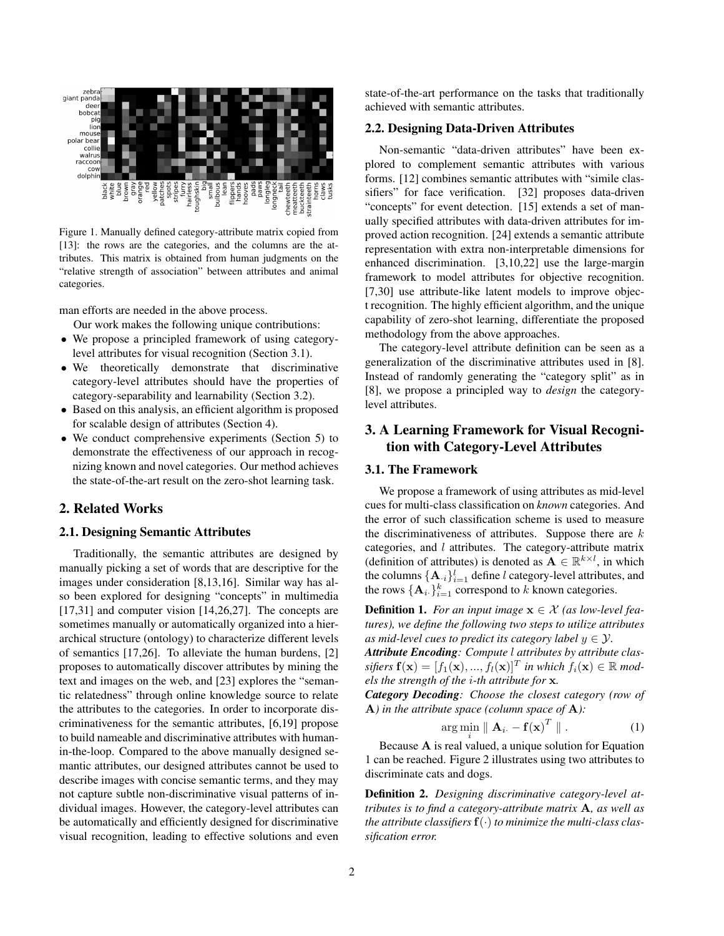

Figure 1. Manually defined category-attribute matrix copied from [13]: the rows are the categories, and the columns are the attributes. This matrix is obtained from human judgments on the "relative strength of association" between attributes and animal categories.

man efforts are needed in the above process.

Our work makes the following unique contributions:

- We propose a principled framework of using categorylevel attributes for visual recognition (Section 3.1).
- We theoretically demonstrate that discriminative category-level attributes should have the properties of category-separability and learnability (Section 3.2).
- Based on this analysis, an efficient algorithm is proposed for scalable design of attributes (Section 4).
- We conduct comprehensive experiments (Section 5) to demonstrate the effectiveness of our approach in recognizing known and novel categories. Our method achieves the state-of-the-art result on the zero-shot learning task.

# 2. Related Works

### 2.1. Designing Semantic Attributes

Traditionally, the semantic attributes are designed by manually picking a set of words that are descriptive for the images under consideration [8,13,16]. Similar way has also been explored for designing "concepts" in multimedia [17,31] and computer vision [14,26,27]. The concepts are sometimes manually or automatically organized into a hierarchical structure (ontology) to characterize different levels of semantics [17,26]. To alleviate the human burdens, [2] proposes to automatically discover attributes by mining the text and images on the web, and [23] explores the "semantic relatedness" through online knowledge source to relate the attributes to the categories. In order to incorporate discriminativeness for the semantic attributes, [6,19] propose to build nameable and discriminative attributes with humanin-the-loop. Compared to the above manually designed semantic attributes, our designed attributes cannot be used to describe images with concise semantic terms, and they may not capture subtle non-discriminative visual patterns of individual images. However, the category-level attributes can be automatically and efficiently designed for discriminative visual recognition, leading to effective solutions and even state-of-the-art performance on the tasks that traditionally achieved with semantic attributes.

#### 2.2. Designing Data-Driven Attributes

Non-semantic "data-driven attributes" have been explored to complement semantic attributes with various forms. [12] combines semantic attributes with "simile classifiers" for face verification. [32] proposes data-driven "concepts" for event detection. [15] extends a set of manually specified attributes with data-driven attributes for improved action recognition. [24] extends a semantic attribute representation with extra non-interpretable dimensions for enhanced discrimination. [3,10,22] use the large-margin framework to model attributes for objective recognition. [7,30] use attribute-like latent models to improve object recognition. The highly efficient algorithm, and the unique capability of zero-shot learning, differentiate the proposed methodology from the above approaches.

The category-level attribute definition can be seen as a generalization of the discriminative attributes used in [8]. Instead of randomly generating the "category split" as in [8], we propose a principled way to *design* the categorylevel attributes.

# 3. A Learning Framework for Visual Recognition with Category-Level Attributes

### 3.1. The Framework

We propose a framework of using attributes as mid-level cues for multi-class classification on *known* categories. And the error of such classification scheme is used to measure the discriminativeness of attributes. Suppose there are  $k$ categories, and l attributes. The category-attribute matrix (definition of attributes) is denoted as  $\mathbf{A} \in \mathbb{R}^{k \times l}$ , in which the columns  $\{\mathbf A_{\cdot i}\}_{i=1}^l$  define l category-level attributes, and the rows  $\{\mathbf A_i\}_{i=1}^k$  correspond to k known categories.

**Definition 1.** For an input image  $x \in \mathcal{X}$  (as low-level fea*tures), we define the following two steps to utilize attributes as mid-level cues to predict its category label*  $y \in \mathcal{Y}$ *.* 

*Attribute Encoding: Compute* l *attributes by attribute clas* $s$ *ifiers*  $f(\mathbf{x}) = [f_1(\mathbf{x}), ..., f_l(\mathbf{x})]^T$  *in which*  $f_i(\mathbf{x}) \in \mathbb{R}$  *models the strength of the* i*-th attribute for* x*.*

*Category Decoding: Choose the closest category (row of* A*) in the attribute space (column space of* A*):*

$$
\arg\min_{i} \parallel \mathbf{A}_{i\cdot} - \mathbf{f}(\mathbf{x})^T \parallel. \tag{1}
$$

Because A is real valued, a unique solution for Equation 1 can be reached. Figure 2 illustrates using two attributes to discriminate cats and dogs.

Definition 2. *Designing discriminative category-level attributes is to find a category-attribute matrix* A*, as well as the attribute classifiers*  $f(\cdot)$  *to minimize the multi-class classification error.*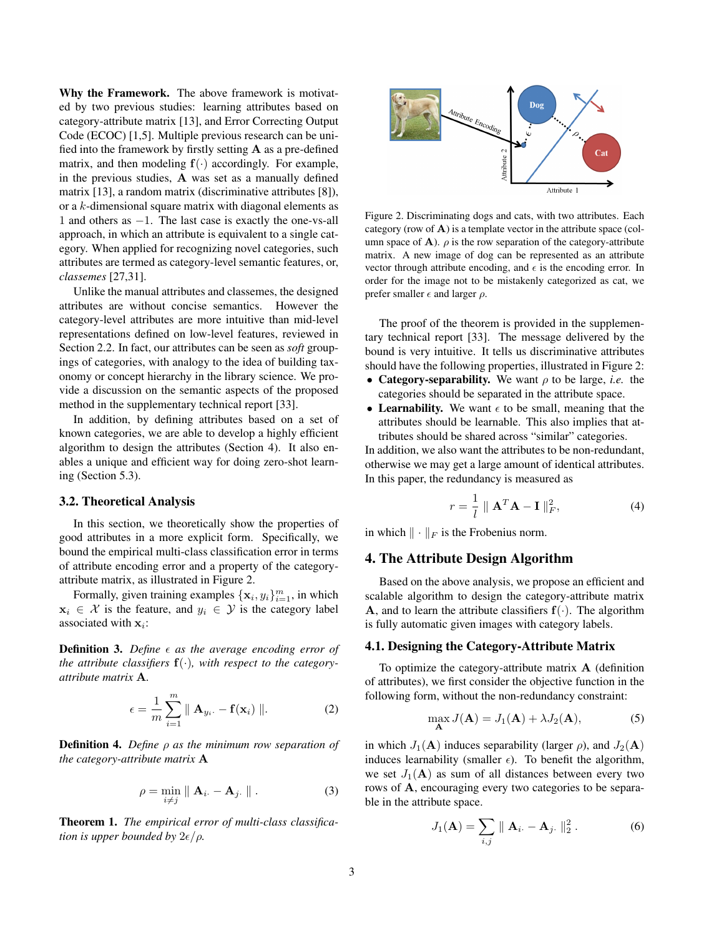Why the Framework. The above framework is motivated by two previous studies: learning attributes based on category-attribute matrix [13], and Error Correcting Output Code (ECOC) [1,5]. Multiple previous research can be unified into the framework by firstly setting A as a pre-defined matrix, and then modeling  $f(\cdot)$  accordingly. For example, in the previous studies, A was set as a manually defined matrix [13], a random matrix (discriminative attributes [8]), or a k-dimensional square matrix with diagonal elements as 1 and others as −1. The last case is exactly the one-vs-all approach, in which an attribute is equivalent to a single category. When applied for recognizing novel categories, such attributes are termed as category-level semantic features, or, *classemes* [27,31].

Unlike the manual attributes and classemes, the designed attributes are without concise semantics. However the category-level attributes are more intuitive than mid-level representations defined on low-level features, reviewed in Section 2.2. In fact, our attributes can be seen as *soft* groupings of categories, with analogy to the idea of building taxonomy or concept hierarchy in the library science. We provide a discussion on the semantic aspects of the proposed method in the supplementary technical report [33].

In addition, by defining attributes based on a set of known categories, we are able to develop a highly efficient algorithm to design the attributes (Section 4). It also enables a unique and efficient way for doing zero-shot learning (Section 5.3).

#### 3.2. Theoretical Analysis

In this section, we theoretically show the properties of good attributes in a more explicit form. Specifically, we bound the empirical multi-class classification error in terms of attribute encoding error and a property of the categoryattribute matrix, as illustrated in Figure 2.

Formally, given training examples  $\{x_i, y_i\}_{i=1}^m$ , in which  $x_i \in \mathcal{X}$  is the feature, and  $y_i \in \mathcal{Y}$  is the category label associated with  $x_i$ :

**Definition 3.** Define  $\epsilon$  as the average encoding error of *the attribute classifiers*  $f(\cdot)$ *, with respect to the categoryattribute matrix* A*.*

$$
\epsilon = \frac{1}{m} \sum_{i=1}^{m} \parallel \mathbf{A}_{y_i} - \mathbf{f}(\mathbf{x}_i) \parallel.
$$
 (2)

Definition 4. *Define* ρ *as the minimum row separation of the category-attribute matrix* A

$$
\rho = \min_{i \neq j} \parallel \mathbf{A}_{i \cdot} - \mathbf{A}_{j \cdot} \parallel . \tag{3}
$$

Theorem 1. *The empirical error of multi-class classification is upper bounded by*  $2\epsilon/\rho$ *.* 



Figure 2. Discriminating dogs and cats, with two attributes. Each category (row of A) is a template vector in the attribute space (column space of **A**).  $\rho$  is the row separation of the category-attribute matrix. A new image of dog can be represented as an attribute vector through attribute encoding, and  $\epsilon$  is the encoding error. In order for the image not to be mistakenly categorized as cat, we prefer smaller  $\epsilon$  and larger  $ρ$ .

The proof of the theorem is provided in the supplementary technical report [33]. The message delivered by the bound is very intuitive. It tells us discriminative attributes should have the following properties, illustrated in Figure 2:

- Category-separability. We want  $\rho$  to be large, *i.e.* the categories should be separated in the attribute space.
- Learnability. We want  $\epsilon$  to be small, meaning that the attributes should be learnable. This also implies that attributes should be shared across "similar" categories.

In addition, we also want the attributes to be non-redundant, otherwise we may get a large amount of identical attributes. In this paper, the redundancy is measured as

$$
r = \frac{1}{l} \parallel \mathbf{A}^T \mathbf{A} - \mathbf{I} \parallel_F^2,
$$
 (4)

in which  $\|\cdot\|_F$  is the Frobenius norm.

# 4. The Attribute Design Algorithm

Based on the above analysis, we propose an efficient and scalable algorithm to design the category-attribute matrix A, and to learn the attribute classifiers  $f(\cdot)$ . The algorithm is fully automatic given images with category labels.

#### 4.1. Designing the Category-Attribute Matrix

To optimize the category-attribute matrix  $A$  (definition of attributes), we first consider the objective function in the following form, without the non-redundancy constraint:

$$
\max_{\mathbf{A}} J(\mathbf{A}) = J_1(\mathbf{A}) + \lambda J_2(\mathbf{A}),\tag{5}
$$

in which  $J_1(\mathbf{A})$  induces separability (larger  $\rho$ ), and  $J_2(\mathbf{A})$ induces learnability (smaller  $\epsilon$ ). To benefit the algorithm, we set  $J_1(A)$  as sum of all distances between every two rows of A, encouraging every two categories to be separable in the attribute space.

$$
J_1(\mathbf{A}) = \sum_{i,j} \| \mathbf{A}_{i \cdot} - \mathbf{A}_{j \cdot} \|_2^2.
$$
 (6)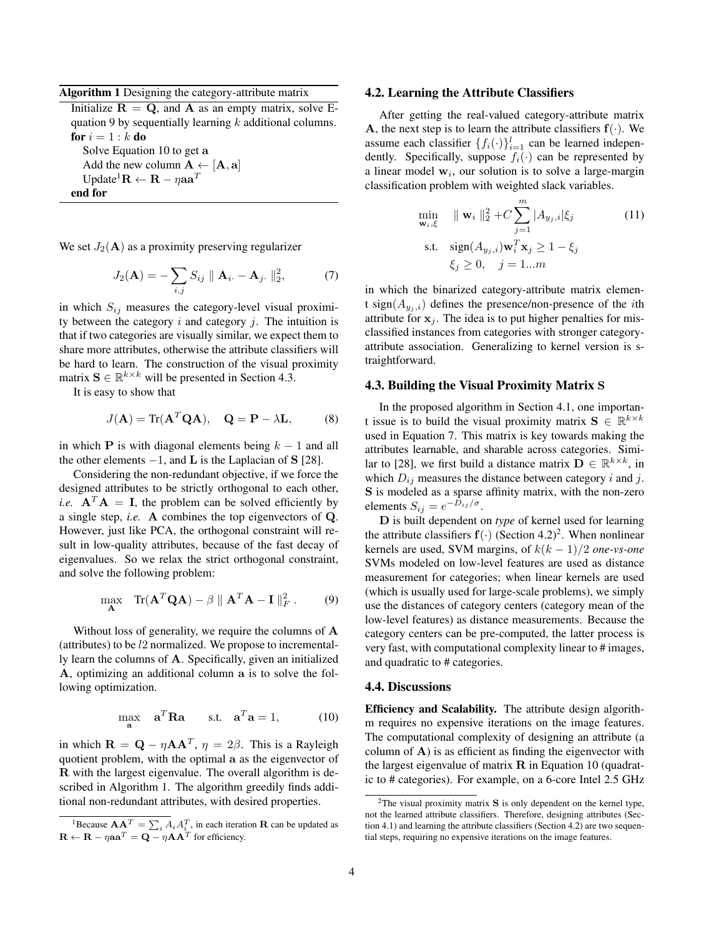Algorithm 1 Designing the category-attribute matrix

Initialize  $R = Q$ , and A as an empty matrix, solve Equation 9 by sequentially learning  $k$  additional columns. for  $i = 1 : k$  do Solve Equation 10 to get a Add the new column  $A \leftarrow [A, a]$ Update<sup>1</sup> $\mathbf{R} \leftarrow \mathbf{R} - \eta \mathbf{a} \mathbf{a}^T$ end for

We set  $J_2(A)$  as a proximity preserving regularizer

$$
J_2(\mathbf{A}) = -\sum_{i,j} S_{ij} \parallel \mathbf{A}_{i \cdot} - \mathbf{A}_{j \cdot} \parallel_2^2, \tag{7}
$$

in which  $S_{ij}$  measures the category-level visual proximity between the category  $i$  and category  $j$ . The intuition is that if two categories are visually similar, we expect them to share more attributes, otherwise the attribute classifiers will be hard to learn. The construction of the visual proximity matrix  $\mathbf{S} \in \mathbb{R}^{k \times k}$  will be presented in Section 4.3.

It is easy to show that

$$
J(\mathbf{A}) = \text{Tr}(\mathbf{A}^T \mathbf{Q} \mathbf{A}), \quad \mathbf{Q} = \mathbf{P} - \lambda \mathbf{L}, \tag{8}
$$

in which P is with diagonal elements being  $k - 1$  and all the other elements  $-1$ , and **L** is the Laplacian of **S** [28].

Considering the non-redundant objective, if we force the designed attributes to be strictly orthogonal to each other, *i.e.*  $A^T A = I$ , the problem can be solved efficiently by a single step, *i.e.* A combines the top eigenvectors of Q. However, just like PCA, the orthogonal constraint will result in low-quality attributes, because of the fast decay of eigenvalues. So we relax the strict orthogonal constraint, and solve the following problem:

$$
\max_{\mathbf{A}} \quad \text{Tr}(\mathbf{A}^T \mathbf{Q} \mathbf{A}) - \beta \parallel \mathbf{A}^T \mathbf{A} - \mathbf{I} \parallel_F^2. \tag{9}
$$

Without loss of generality, we require the columns of A (attributes) to be l2 normalized. We propose to incrementally learn the columns of A. Specifically, given an initialized A, optimizing an additional column a is to solve the following optimization.

$$
\max_{\mathbf{a}} \quad \mathbf{a}^T \mathbf{R} \mathbf{a} \qquad \text{s.t.} \quad \mathbf{a}^T \mathbf{a} = 1, \tag{10}
$$

in which  $\mathbf{R} = \mathbf{Q} - \eta \mathbf{A} \mathbf{A}^T$ ,  $\eta = 2\beta$ . This is a Rayleigh quotient problem, with the optimal a as the eigenvector of R with the largest eigenvalue. The overall algorithm is described in Algorithm 1. The algorithm greedily finds additional non-redundant attributes, with desired properties.

#### 4.2. Learning the Attribute Classifiers

After getting the real-valued category-attribute matrix A, the next step is to learn the attribute classifiers  $f(\cdot)$ . We assume each classifier  $\{f_i(\cdot)\}_{i=1}^l$  can be learned independently. Specifically, suppose  $f_i(\cdot)$  can be represented by a linear model  $w_i$ , our solution is to solve a large-margin classification problem with weighted slack variables.

$$
\min_{\mathbf{w}_i, \xi} \quad \|\mathbf{w}_i\|_2^2 + C \sum_{j=1}^m |A_{y_j, i}| \xi_j
$$
\n
$$
\text{s.t.} \quad \text{sign}(A_{y_j, i}) \mathbf{w}_i^T \mathbf{x}_j \ge 1 - \xi_j
$$
\n
$$
\xi_j \ge 0, \quad j = 1...m
$$
\n(11)

in which the binarized category-attribute matrix element sign( $A_{y_i,i}$ ) defines the presence/non-presence of the *i*th attribute for  $x_i$ . The idea is to put higher penalties for misclassified instances from categories with stronger categoryattribute association. Generalizing to kernel version is straightforward.

#### 4.3. Building the Visual Proximity Matrix S

In the proposed algorithm in Section 4.1, one important issue is to build the visual proximity matrix  $\mathbf{S} \in \mathbb{R}^{k \times k}$ used in Equation 7. This matrix is key towards making the attributes learnable, and sharable across categories. Similar to [28], we first build a distance matrix  $\mathbf{D} \in \mathbb{R}^{k \times k}$ , in which  $D_{ij}$  measures the distance between category i and j. S is modeled as a sparse affinity matrix, with the non-zero elements  $S_{ij} = e^{-D_{ij}/\sigma}$ .

D is built dependent on *type* of kernel used for learning the attribute classifiers  $f(\cdot)$  (Section 4.2)<sup>2</sup>. When nonlinear kernels are used, SVM margins, of  $k(k - 1)/2$  *one-vs-one* SVMs modeled on low-level features are used as distance measurement for categories; when linear kernels are used (which is usually used for large-scale problems), we simply use the distances of category centers (category mean of the low-level features) as distance measurements. Because the category centers can be pre-computed, the latter process is very fast, with computational complexity linear to # images, and quadratic to # categories.

#### 4.4. Discussions

Efficiency and Scalability. The attribute design algorithm requires no expensive iterations on the image features. The computational complexity of designing an attribute (a column of A) is as efficient as finding the eigenvector with the largest eigenvalue of matrix  $R$  in Equation 10 (quadratic to # categories). For example, on a 6-core Intel 2.5 GHz

<sup>&</sup>lt;sup>1</sup>Because  $\mathbf{A} \mathbf{A}^T = \sum_i A_i A_i^T$ , in each iteration **R** can be updated as  $\mathbf{R} \leftarrow \mathbf{R} - \eta \mathbf{a} \mathbf{a}^T = \mathbf{Q} - \eta \mathbf{A} \mathbf{A}^T$  for efficiency.

<sup>&</sup>lt;sup>2</sup>The visual proximity matrix **S** is only dependent on the kernel type, not the learned attribute classifiers. Therefore, designing attributes (Section 4.1) and learning the attribute classifiers (Section 4.2) are two sequential steps, requiring no expensive iterations on the image features.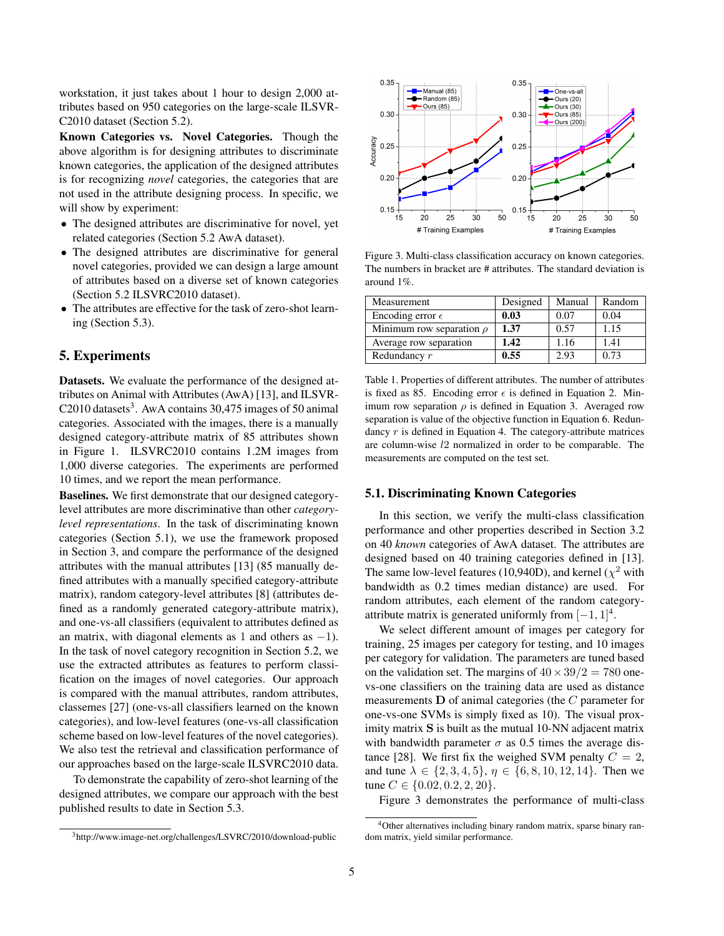workstation, it just takes about 1 hour to design 2,000 attributes based on 950 categories on the large-scale ILSVR-C2010 dataset (Section 5.2).

Known Categories vs. Novel Categories. Though the above algorithm is for designing attributes to discriminate known categories, the application of the designed attributes is for recognizing *novel* categories, the categories that are not used in the attribute designing process. In specific, we will show by experiment:

- The designed attributes are discriminative for novel, yet related categories (Section 5.2 AwA dataset).
- The designed attributes are discriminative for general novel categories, provided we can design a large amount of attributes based on a diverse set of known categories (Section 5.2 ILSVRC2010 dataset).
- The attributes are effective for the task of zero-shot learning (Section 5.3).

# 5. Experiments

Datasets. We evaluate the performance of the designed attributes on Animal with Attributes (AwA) [13], and ILSVR-C2010 datasets<sup>3</sup>. AwA contains 30,475 images of 50 animal categories. Associated with the images, there is a manually designed category-attribute matrix of 85 attributes shown in Figure 1. ILSVRC2010 contains 1.2M images from 1,000 diverse categories. The experiments are performed 10 times, and we report the mean performance.

Baselines. We first demonstrate that our designed categorylevel attributes are more discriminative than other *categorylevel representations*. In the task of discriminating known categories (Section 5.1), we use the framework proposed in Section 3, and compare the performance of the designed attributes with the manual attributes [13] (85 manually defined attributes with a manually specified category-attribute matrix), random category-level attributes [8] (attributes defined as a randomly generated category-attribute matrix), and one-vs-all classifiers (equivalent to attributes defined as an matrix, with diagonal elements as 1 and others as  $-1$ ). In the task of novel category recognition in Section 5.2, we use the extracted attributes as features to perform classification on the images of novel categories. Our approach is compared with the manual attributes, random attributes, classemes [27] (one-vs-all classifiers learned on the known categories), and low-level features (one-vs-all classification scheme based on low-level features of the novel categories). We also test the retrieval and classification performance of our approaches based on the large-scale ILSVRC2010 data.

To demonstrate the capability of zero-shot learning of the designed attributes, we compare our approach with the best published results to date in Section 5.3.





Figure 3. Multi-class classification accuracy on known categories. The numbers in bracket are # attributes. The standard deviation is around 1%.

| Measurement                   | Designed | Manual | Random |
|-------------------------------|----------|--------|--------|
| Encoding error $\epsilon$     | 0.03     | 0.07   | 0.04   |
| Minimum row separation $\rho$ | 1.37     | 0.57   | 1.15   |
| Average row separation        | 1.42     | 1.16   | 1.41   |
| Redundancy r                  | 0.55     | 2.93   | 0.73   |

Table 1. Properties of different attributes. The number of attributes is fixed as 85. Encoding error  $\epsilon$  is defined in Equation 2. Minimum row separation  $\rho$  is defined in Equation 3. Averaged row separation is value of the objective function in Equation 6. Redundancy  $r$  is defined in Equation 4. The category-attribute matrices are column-wise l2 normalized in order to be comparable. The measurements are computed on the test set.

### 5.1. Discriminating Known Categories

In this section, we verify the multi-class classification performance and other properties described in Section 3.2 on 40 *known* categories of AwA dataset. The attributes are designed based on 40 training categories defined in [13]. The same low-level features (10,940D), and kernel ( $\chi^2$  with bandwidth as 0.2 times median distance) are used. For random attributes, each element of the random categoryattribute matrix is generated uniformly from  $[-1, 1]^4$ .

We select different amount of images per category for training, 25 images per category for testing, and 10 images per category for validation. The parameters are tuned based on the validation set. The margins of  $40 \times 39/2 = 780$  onevs-one classifiers on the training data are used as distance measurements  $\bf{D}$  of animal categories (the  $C$  parameter for one-vs-one SVMs is simply fixed as 10). The visual proximity matrix S is built as the mutual 10-NN adjacent matrix with bandwidth parameter  $\sigma$  as 0.5 times the average distance [28]. We first fix the weighed SVM penalty  $C = 2$ , and tune  $\lambda \in \{2, 3, 4, 5\}, \eta \in \{6, 8, 10, 12, 14\}.$  Then we tune  $C \in \{0.02, 0.2, 2, 20\}.$ 

Figure 3 demonstrates the performance of multi-class

<sup>4</sup>Other alternatives including binary random matrix, sparse binary random matrix, yield similar performance.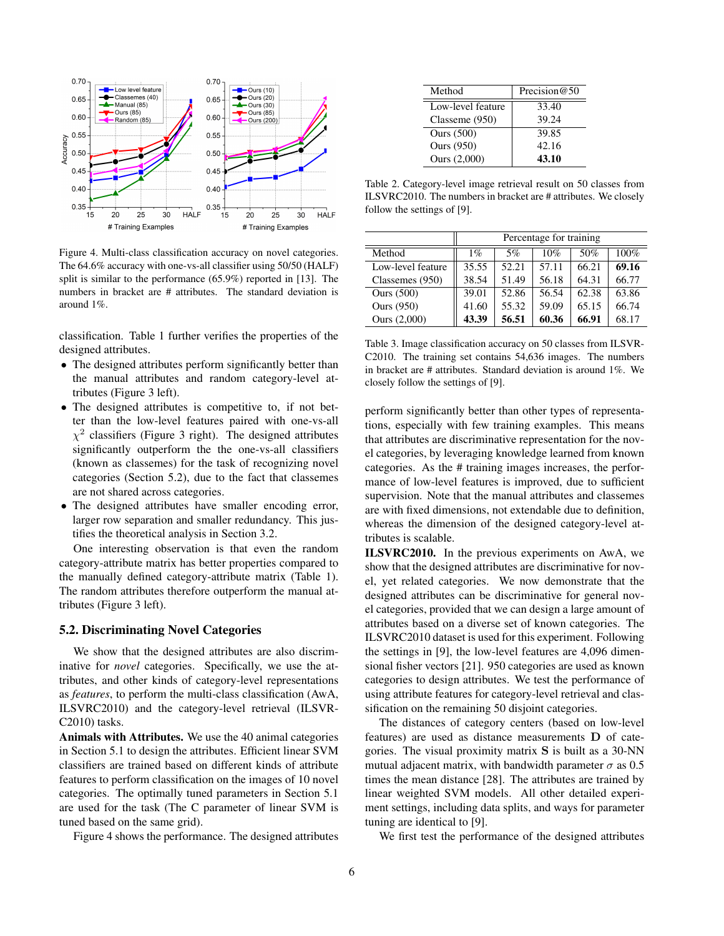

Figure 4. Multi-class classification accuracy on novel categories. The 64.6% accuracy with one-vs-all classifier using 50/50 (HALF) split is similar to the performance (65.9%) reported in [13]. The numbers in bracket are # attributes. The standard deviation is around 1%.

classification. Table 1 further verifies the properties of the designed attributes.

- The designed attributes perform significantly better than the manual attributes and random category-level attributes (Figure 3 left).
- The designed attributes is competitive to, if not better than the low-level features paired with one-vs-all  $\chi^2$  classifiers (Figure 3 right). The designed attributes significantly outperform the the one-vs-all classifiers (known as classemes) for the task of recognizing novel categories (Section 5.2), due to the fact that classemes are not shared across categories.
- The designed attributes have smaller encoding error, larger row separation and smaller redundancy. This justifies the theoretical analysis in Section 3.2.

One interesting observation is that even the random category-attribute matrix has better properties compared to the manually defined category-attribute matrix (Table 1). The random attributes therefore outperform the manual attributes (Figure 3 left).

### 5.2. Discriminating Novel Categories

We show that the designed attributes are also discriminative for *novel* categories. Specifically, we use the attributes, and other kinds of category-level representations as *features*, to perform the multi-class classification (AwA, ILSVRC2010) and the category-level retrieval (ILSVR-C2010) tasks.

Animals with Attributes. We use the 40 animal categories in Section 5.1 to design the attributes. Efficient linear SVM classifiers are trained based on different kinds of attribute features to perform classification on the images of 10 novel categories. The optimally tuned parameters in Section 5.1 are used for the task (The C parameter of linear SVM is tuned based on the same grid).

Figure 4 shows the performance. The designed attributes

| Method            | Precision $@50$ |
|-------------------|-----------------|
| Low-level feature | 33.40           |
| Classeme (950)    | 39.24           |
| Ours (500)        | 39.85           |
| <b>Ours</b> (950) | 42.16           |
| Ours (2,000)      | 43.10           |

Table 2. Category-level image retrieval result on 50 classes from ILSVRC2010. The numbers in bracket are # attributes. We closely follow the settings of [9].

|                   | Percentage for training |       |       |       |       |
|-------------------|-------------------------|-------|-------|-------|-------|
| Method            | $1\%$                   | 5%    | 10%   | 50%   | 100%  |
| Low-level feature | 35.55                   | 52.21 | 57.11 | 66.21 | 69.16 |
| Classemes (950)   | 38.54                   | 51.49 | 56.18 | 64.31 | 66.77 |
| <b>Ours</b> (500) | 39.01                   | 52.86 | 56.54 | 62.38 | 63.86 |
| <b>Ours</b> (950) | 41.60                   | 55.32 | 59.09 | 65.15 | 66.74 |
| Ours (2,000)      | 43.39                   | 56.51 | 60.36 | 66.91 | 68.17 |

Table 3. Image classification accuracy on 50 classes from ILSVR-C2010. The training set contains 54,636 images. The numbers in bracket are # attributes. Standard deviation is around 1%. We closely follow the settings of [9].

perform significantly better than other types of representations, especially with few training examples. This means that attributes are discriminative representation for the novel categories, by leveraging knowledge learned from known categories. As the # training images increases, the performance of low-level features is improved, due to sufficient supervision. Note that the manual attributes and classemes are with fixed dimensions, not extendable due to definition, whereas the dimension of the designed category-level attributes is scalable.

ILSVRC2010. In the previous experiments on AwA, we show that the designed attributes are discriminative for novel, yet related categories. We now demonstrate that the designed attributes can be discriminative for general novel categories, provided that we can design a large amount of attributes based on a diverse set of known categories. The ILSVRC2010 dataset is used for this experiment. Following the settings in [9], the low-level features are 4,096 dimensional fisher vectors [21]. 950 categories are used as known categories to design attributes. We test the performance of using attribute features for category-level retrieval and classification on the remaining 50 disjoint categories.

The distances of category centers (based on low-level features) are used as distance measurements D of categories. The visual proximity matrix S is built as a 30-NN mutual adjacent matrix, with bandwidth parameter  $\sigma$  as 0.5 times the mean distance [28]. The attributes are trained by linear weighted SVM models. All other detailed experiment settings, including data splits, and ways for parameter tuning are identical to [9].

We first test the performance of the designed attributes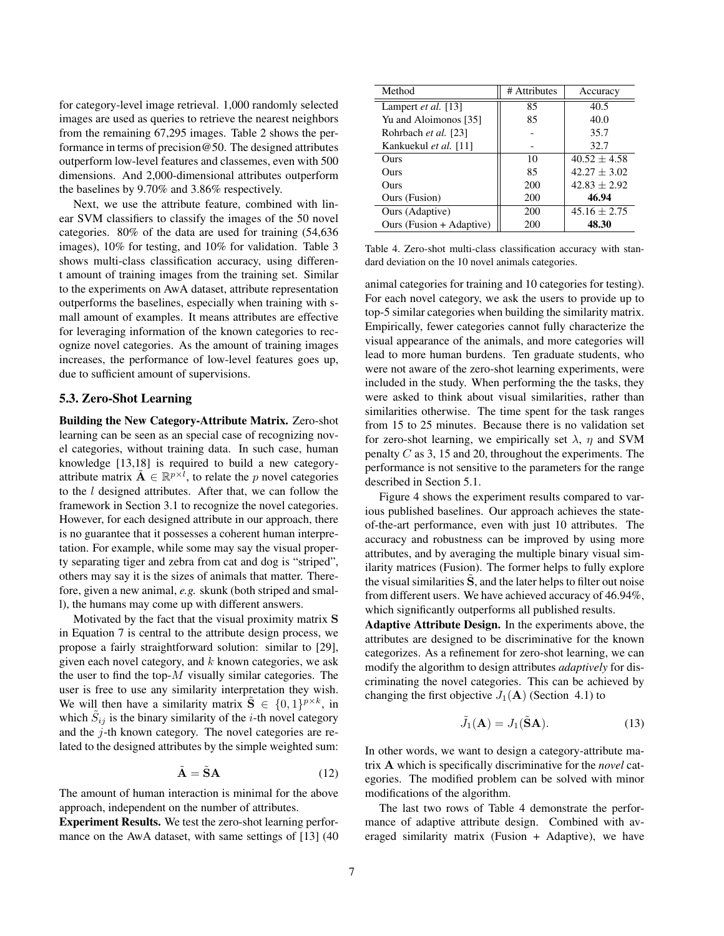for category-level image retrieval. 1,000 randomly selected images are used as queries to retrieve the nearest neighbors from the remaining 67,295 images. Table 2 shows the performance in terms of precision@50. The designed attributes outperform low-level features and classemes, even with 500 dimensions. And 2,000-dimensional attributes outperform the baselines by 9.70% and 3.86% respectively.

Next, we use the attribute feature, combined with linear SVM classifiers to classify the images of the 50 novel categories. 80% of the data are used for training (54,636 images), 10% for testing, and 10% for validation. Table 3 shows multi-class classification accuracy, using different amount of training images from the training set. Similar to the experiments on AwA dataset, attribute representation outperforms the baselines, especially when training with small amount of examples. It means attributes are effective for leveraging information of the known categories to recognize novel categories. As the amount of training images increases, the performance of low-level features goes up, due to sufficient amount of supervisions.

#### 5.3. Zero-Shot Learning

Building the New Category-Attribute Matrix. Zero-shot learning can be seen as an special case of recognizing novel categories, without training data. In such case, human knowledge [13,18] is required to build a new categoryattribute matrix  $\tilde{A} \in \mathbb{R}^{p \times l}$ , to relate the p novel categories to the  $l$  designed attributes. After that, we can follow the framework in Section 3.1 to recognize the novel categories. However, for each designed attribute in our approach, there is no guarantee that it possesses a coherent human interpretation. For example, while some may say the visual property separating tiger and zebra from cat and dog is "striped", others may say it is the sizes of animals that matter. Therefore, given a new animal, *e.g.* skunk (both striped and small), the humans may come up with different answers.

Motivated by the fact that the visual proximity matrix S in Equation 7 is central to the attribute design process, we propose a fairly straightforward solution: similar to [29], given each novel category, and  $k$  known categories, we ask the user to find the top- $M$  visually similar categories. The user is free to use any similarity interpretation they wish. We will then have a similarity matrix  $\tilde{S} \in \{0, 1\}^{p \times k}$ , in which  $\tilde{S}_{ij}$  is the binary similarity of the *i*-th novel category and the  $j$ -th known category. The novel categories are related to the designed attributes by the simple weighted sum:

$$
\tilde{\mathbf{A}} = \tilde{\mathbf{S}} \mathbf{A} \tag{12}
$$

The amount of human interaction is minimal for the above approach, independent on the number of attributes.

Experiment Results. We test the zero-shot learning performance on the AwA dataset, with same settings of [13] (40)

| Method                   | # Attributes | Accuracy       |
|--------------------------|--------------|----------------|
| Lampert et al. [13]      | 85           | 40.5           |
| Yu and Aloimonos [35]    | 85           | 40.0           |
| Rohrbach et al. [23]     |              | 35.7           |
| Kankuekul et al. [11]    |              | 32.7           |
| Ours                     | 10           | $40.52 + 4.58$ |
| Ours                     | 85           | $42.27 + 3.02$ |
| Ours                     | 200          | $42.83 + 2.92$ |
| Ours (Fusion)            | 200          | 46.94          |
| Ours (Adaptive)          | 200          | $45.16 + 2.75$ |
| Ours (Fusion + Adaptive) | 200          | 48.30          |

Table 4. Zero-shot multi-class classification accuracy with standard deviation on the 10 novel animals categories.

animal categories for training and 10 categories for testing). For each novel category, we ask the users to provide up to top-5 similar categories when building the similarity matrix. Empirically, fewer categories cannot fully characterize the visual appearance of the animals, and more categories will lead to more human burdens. Ten graduate students, who were not aware of the zero-shot learning experiments, were included in the study. When performing the the tasks, they were asked to think about visual similarities, rather than similarities otherwise. The time spent for the task ranges from 15 to 25 minutes. Because there is no validation set for zero-shot learning, we empirically set  $\lambda$ ,  $\eta$  and SVM penalty C as 3, 15 and 20, throughout the experiments. The performance is not sensitive to the parameters for the range described in Section 5.1.

Figure 4 shows the experiment results compared to various published baselines. Our approach achieves the stateof-the-art performance, even with just 10 attributes. The accuracy and robustness can be improved by using more attributes, and by averaging the multiple binary visual similarity matrices (Fusion). The former helps to fully explore the visual similarities S, and the later helps to filter out noise from different users. We have achieved accuracy of 46.94%, which significantly outperforms all published results.

Adaptive Attribute Design. In the experiments above, the attributes are designed to be discriminative for the known categorizes. As a refinement for zero-shot learning, we can modify the algorithm to design attributes *adaptively* for discriminating the novel categories. This can be achieved by changing the first objective  $J_1(A)$  (Section 4.1) to

$$
\tilde{J}_1(\mathbf{A}) = J_1(\tilde{\mathbf{S}}\mathbf{A}).\tag{13}
$$

In other words, we want to design a category-attribute matrix A which is specifically discriminative for the *novel* categories. The modified problem can be solved with minor modifications of the algorithm.

The last two rows of Table 4 demonstrate the performance of adaptive attribute design. Combined with averaged similarity matrix (Fusion + Adaptive), we have